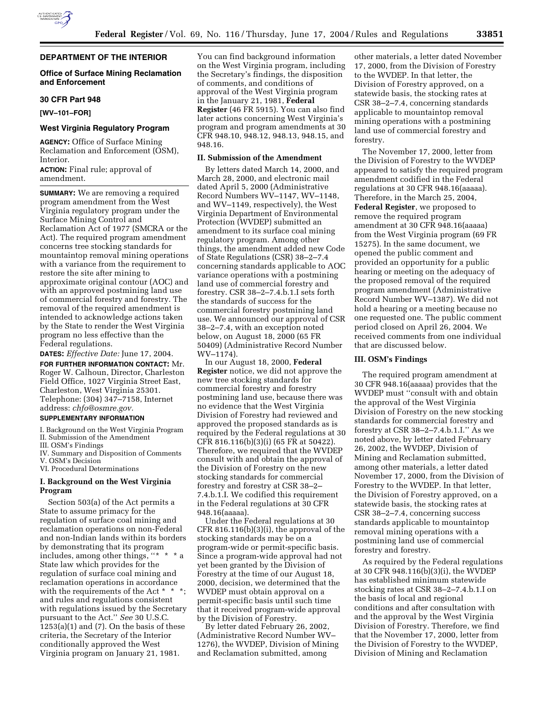

# **Office of Surface Mining Reclamation and Enforcement**

### **30 CFR Part 948**

**[WV–101–FOR]** 

# **West Virginia Regulatory Program**

**AGENCY:** Office of Surface Mining Reclamation and Enforcement (OSM), Interior.

**ACTION:** Final rule; approval of amendment.

**SUMMARY:** We are removing a required program amendment from the West Virginia regulatory program under the Surface Mining Control and Reclamation Act of 1977 (SMCRA or the Act). The required program amendment concerns tree stocking standards for mountaintop removal mining operations with a variance from the requirement to restore the site after mining to approximate original contour (AOC) and with an approved postmining land use of commercial forestry and forestry. The removal of the required amendment is intended to acknowledge actions taken by the State to render the West Virginia program no less effective than the Federal regulations.

**DATES:** *Effective Date:* June 17, 2004. **FOR FURTHER INFORMATION CONTACT:** Mr.

Roger W. Calhoun, Director, Charleston Field Office, 1027 Virginia Street East, Charleston, West Virginia 25301. Telephone: (304) 347–7158, Internet address: *chfo@osmre.gov.*

## **SUPPLEMENTARY INFORMATION**

I. Background on the West Virginia Program II. Submission of the Amendment

III. OSM's Findings

IV. Summary and Disposition of Comments V. OSM's Decision

VI. Procedural Determinations

## **I. Background on the West Virginia Program**

Section 503(a) of the Act permits a State to assume primacy for the regulation of surface coal mining and reclamation operations on non-Federal and non-Indian lands within its borders by demonstrating that its program includes, among other things, ''\* \* \* a State law which provides for the regulation of surface coal mining and reclamation operations in accordance with the requirements of the Act \* \* \*; and rules and regulations consistent with regulations issued by the Secretary pursuant to the Act.'' *See* 30 U.S.C.  $1253(a)(1)$  and  $(7)$ . On the basis of these criteria, the Secretary of the Interior conditionally approved the West Virginia program on January 21, 1981.

You can find background information on the West Virginia program, including the Secretary's findings, the disposition of comments, and conditions of approval of the West Virginia program in the January 21, 1981, **Federal Register** (46 FR 5915). You can also find later actions concerning West Virginia's program and program amendments at 30 CFR 948.10, 948.12, 948.13, 948.15, and 948.16.

# **II. Submission of the Amendment**

By letters dated March 14, 2000, and March 28, 2000, and electronic mail dated April 5, 2000 (Administrative Record Numbers WV–1147, WV–1148, and WV–1149, respectively), the West Virginia Department of Environmental Protection (WVDEP) submitted an amendment to its surface coal mining regulatory program. Among other things, the amendment added new Code of State Regulations (CSR) 38–2–7.4 concerning standards applicable to AOC variance operations with a postmining land use of commercial forestry and forestry. CSR 38–2–7.4.b.1.I sets forth the standards of success for the commercial forestry postmining land use. We announced our approval of CSR 38–2–7.4, with an exception noted below, on August 18, 2000 (65 FR 50409) (Administrative Record Number WV–1174).

In our August 18, 2000, **Federal Register** notice, we did not approve the new tree stocking standards for commercial forestry and forestry postmining land use, because there was no evidence that the West Virginia Division of Forestry had reviewed and approved the proposed standards as is required by the Federal regulations at 30 CFR 816.116(b)(3)(i) (65 FR at 50422). Therefore, we required that the WVDEP consult with and obtain the approval of the Division of Forestry on the new stocking standards for commercial forestry and forestry at CSR 38–2– 7.4.b.1.I. We codified this requirement in the Federal regulations at 30 CFR 948.16(aaaaa).

Under the Federal regulations at 30 CFR 816.116(b)(3)(i), the approval of the stocking standards may be on a program-wide or permit-specific basis. Since a program-wide approval had not yet been granted by the Division of Forestry at the time of our August 18, 2000, decision, we determined that the WVDEP must obtain approval on a permit-specific basis until such time that it received program-wide approval by the Division of Forestry.

By letter dated February 26, 2002, (Administrative Record Number WV– 1276), the WVDEP, Division of Mining and Reclamation submitted, among

other materials, a letter dated November 17, 2000, from the Division of Forestry to the WVDEP. In that letter, the Division of Forestry approved, on a statewide basis, the stocking rates at CSR 38–2–7.4, concerning standards applicable to mountaintop removal mining operations with a postmining land use of commercial forestry and forestry.

The November 17, 2000, letter from the Division of Forestry to the WVDEP appeared to satisfy the required program amendment codified in the Federal regulations at 30 CFR 948.16(aaaaa). Therefore, in the March 25, 2004, **Federal Register**, we proposed to remove the required program amendment at 30 CFR 948.16(aaaaa) from the West Virginia program (69 FR 15275). In the same document, we opened the public comment and provided an opportunity for a public hearing or meeting on the adequacy of the proposed removal of the required program amendment (Administrative Record Number WV–1387). We did not hold a hearing or a meeting because no one requested one. The public comment period closed on April 26, 2004. We received comments from one individual that are discussed below.

# **III. OSM's Findings**

The required program amendment at 30 CFR 948.16(aaaaa) provides that the WVDEP must ''consult with and obtain the approval of the West Virginia Division of Forestry on the new stocking standards for commercial forestry and forestry at CSR 38–2–7.4.b.1.I.'' As we noted above, by letter dated February 26, 2002, the WVDEP, Division of Mining and Reclamation submitted, among other materials, a letter dated November 17, 2000, from the Division of Forestry to the WVDEP. In that letter, the Division of Forestry approved, on a statewide basis, the stocking rates at CSR 38–2–7.4, concerning success standards applicable to mountaintop removal mining operations with a postmining land use of commercial forestry and forestry.

As required by the Federal regulations at 30 CFR 948.116(b)(3)(i), the WVDEP has established minimum statewide stocking rates at CSR 38–2–7.4.b.1.I on the basis of local and regional conditions and after consultation with and the approval by the West Virginia Division of Forestry. Therefore, we find that the November 17, 2000, letter from the Division of Forestry to the WVDEP, Division of Mining and Reclamation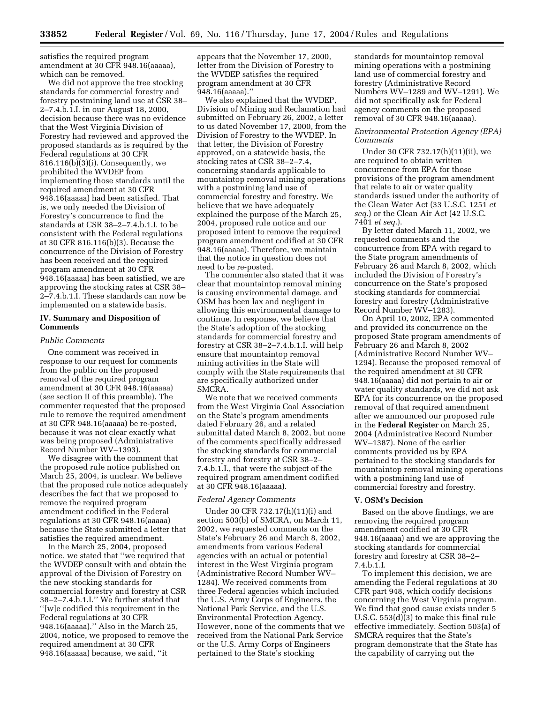satisfies the required program amendment at 30 CFR 948.16(aaaaa), which can be removed.

We did not approve the tree stocking standards for commercial forestry and forestry postmining land use at CSR 38– 2–7.4.b.1.I. in our August 18, 2000, decision because there was no evidence that the West Virginia Division of Forestry had reviewed and approved the proposed standards as is required by the Federal regulations at 30 CFR 816.116(b)(3)(i). Consequently, we prohibited the WVDEP from implementing those standards until the required amendment at 30 CFR 948.16(aaaaa) had been satisfied. That is, we only needed the Division of Forestry's concurrence to find the standards at CSR 38–2–7.4.b.1.I. to be consistent with the Federal regulations at 30 CFR 816.116(b)(3). Because the concurrence of the Division of Forestry has been received and the required program amendment at 30 CFR 948.16(aaaaa) has been satisfied, we are approving the stocking rates at CSR 38– 2–7.4.b.1.I. These standards can now be implemented on a statewide basis.

# **IV. Summary and Disposition of Comments**

### *Public Comments*

One comment was received in response to our request for comments from the public on the proposed removal of the required program amendment at 30 CFR 948.16(aaaaa) (*see* section II of this preamble). The commenter requested that the proposed rule to remove the required amendment at 30 CFR 948.16(aaaaa) be re-posted, because it was not clear exactly what was being proposed (Administrative Record Number WV–1393).

We disagree with the comment that the proposed rule notice published on March 25, 2004, is unclear. We believe that the proposed rule notice adequately describes the fact that we proposed to remove the required program amendment codified in the Federal regulations at 30 CFR 948.16(aaaaa) because the State submitted a letter that satisfies the required amendment.

In the March 25, 2004, proposed notice, we stated that ''we required that the WVDEP consult with and obtain the approval of the Division of Forestry on the new stocking standards for commercial forestry and forestry at CSR 38–2–7.4.b.1.I.'' We further stated that ''[w]e codified this requirement in the Federal regulations at 30 CFR 948.16(aaaaa).'' Also in the March 25, 2004, notice, we proposed to remove the required amendment at 30 CFR 948.16(aaaaa) because, we said, ''it

appears that the November 17, 2000, letter from the Division of Forestry to the WVDEP satisfies the required program amendment at 30 CFR 948.16(aaaaa).''

We also explained that the WVDEP, Division of Mining and Reclamation had submitted on February 26, 2002, a letter to us dated November 17, 2000, from the Division of Forestry to the WVDEP. In that letter, the Division of Forestry approved, on a statewide basis, the stocking rates at CSR 38–2–7.4, concerning standards applicable to mountaintop removal mining operations with a postmining land use of commercial forestry and forestry. We believe that we have adequately explained the purpose of the March 25, 2004, proposed rule notice and our proposed intent to remove the required program amendment codified at 30 CFR 948.16(aaaaa). Therefore, we maintain that the notice in question does not need to be re-posted.

The commenter also stated that it was clear that mountaintop removal mining is causing environmental damage, and OSM has been lax and negligent in allowing this environmental damage to continue. In response, we believe that the State's adoption of the stocking standards for commercial forestry and forestry at CSR 38–2–7.4.b.1.I. will help ensure that mountaintop removal mining activities in the State will comply with the State requirements that are specifically authorized under SMCRA.

We note that we received comments from the West Virginia Coal Association on the State's program amendments dated February 26, and a related submittal dated March 8, 2002, but none of the comments specifically addressed the stocking standards for commercial forestry and forestry at CSR 38–2– 7.4.b.1.I., that were the subject of the required program amendment codified at 30 CFR 948.16(aaaaa).

### *Federal Agency Comments*

Under 30 CFR 732.17(h)(11)(i) and section 503(b) of SMCRA, on March 11, 2002, we requested comments on the State's February 26 and March 8, 2002, amendments from various Federal agencies with an actual or potential interest in the West Virginia program (Administrative Record Number WV– 1284). We received comments from three Federal agencies which included the U.S. Army Corps of Engineers, the National Park Service, and the U.S. Environmental Protection Agency. However, none of the comments that we received from the National Park Service or the U.S. Army Corps of Engineers pertained to the State's stocking

standards for mountaintop removal mining operations with a postmining land use of commercial forestry and forestry (Administrative Record Numbers WV–1289 and WV–1291). We did not specifically ask for Federal agency comments on the proposed removal of 30 CFR 948.16(aaaaa).

# *Environmental Protection Agency (EPA) Comments*

Under 30 CFR 732.17(h)(11)(ii), we are required to obtain written concurrence from EPA for those provisions of the program amendment that relate to air or water quality standards issued under the authority of the Clean Water Act (33 U.S.C. 1251 *et seq.*) or the Clean Air Act (42 U.S.C. 7401 *et seq.*).

By letter dated March 11, 2002, we requested comments and the concurrence from EPA with regard to the State program amendments of February 26 and March 8, 2002, which included the Division of Forestry's concurrence on the State's proposed stocking standards for commercial forestry and forestry (Administrative Record Number WV–1283).

On April 10, 2002, EPA commented and provided its concurrence on the proposed State program amendments of February 26 and March 8, 2002 (Administrative Record Number WV– 1294). Because the proposed removal of the required amendment at 30 CFR 948.16(aaaaa) did not pertain to air or water quality standards, we did not ask EPA for its concurrence on the proposed removal of that required amendment after we announced our proposed rule in the **Federal Register** on March 25, 2004 (Administrative Record Number WV–1387). None of the earlier comments provided us by EPA pertained to the stocking standards for mountaintop removal mining operations with a postmining land use of commercial forestry and forestry.

### **V. OSM's Decision**

Based on the above findings, we are removing the required program amendment codified at 30 CFR 948.16(aaaaa) and we are approving the stocking standards for commercial forestry and forestry at CSR 38–2– 7.4.b.1.I.

To implement this decision, we are amending the Federal regulations at 30 CFR part 948, which codify decisions concerning the West Virginia program. We find that good cause exists under 5 U.S.C. 553(d)(3) to make this final rule effective immediately. Section 503(a) of SMCRA requires that the State's program demonstrate that the State has the capability of carrying out the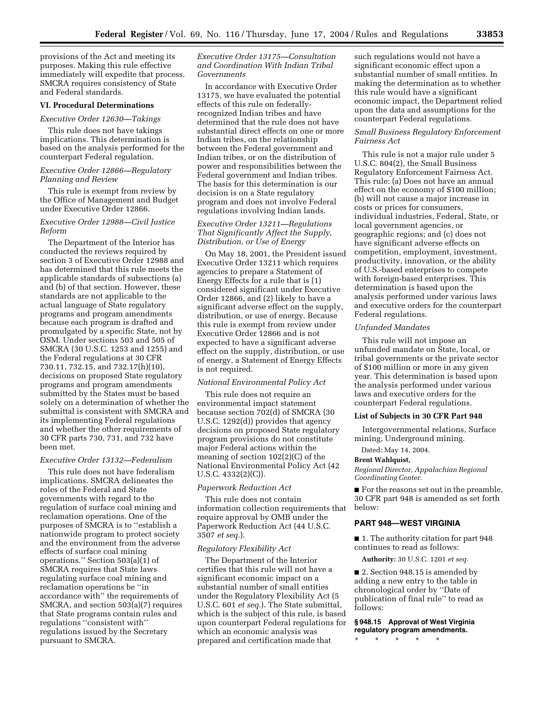provisions of the Act and meeting its purposes. Making this rule effective immediately will expedite that process. SMCRA requires consistency of State and Federal standards.

## **VI. Procedural Determinations**

#### *Executive Order 12630—Takings*

This rule does not have takings implications. This determination is based on the analysis performed for the counterpart Federal regulation.

# *Executive Order 12866—Regulatory Planning and Review*

This rule is exempt from review by the Office of Management and Budget under Executive Order 12866.

# *Executive Order 12988—Civil Justice Reform*

The Department of the Interior has conducted the reviews required by section 3 of Executive Order 12988 and has determined that this rule meets the applicable standards of subsections (a) and (b) of that section. However, these standards are not applicable to the actual language of State regulatory programs and program amendments because each program is drafted and promulgated by a specific State, not by OSM. Under sections 503 and 505 of SMCRA (30 U.S.C. 1253 and 1255) and the Federal regulations at 30 CFR 730.11, 732.15, and 732.17(h)(10), decisions on proposed State regulatory programs and program amendments submitted by the States must be based solely on a determination of whether the submittal is consistent with SMCRA and its implementing Federal regulations and whether the other requirements of 30 CFR parts 730, 731, and 732 have been met.

### *Executive Order 13132—Federalism*

This rule does not have federalism implications. SMCRA delineates the roles of the Federal and State governments with regard to the regulation of surface coal mining and reclamation operations. One of the purposes of SMCRA is to ''establish a nationwide program to protect society and the environment from the adverse effects of surface coal mining operations.'' Section 503(a)(1) of SMCRA requires that State laws regulating surface coal mining and reclamation operations be ''in accordance with'' the requirements of SMCRA, and section 503(a)(7) requires that State programs contain rules and regulations ''consistent with'' regulations issued by the Secretary pursuant to SMCRA.

# *Executive Order 13175—Consultation and Coordination With Indian Tribal Governments*

In accordance with Executive Order 13175, we have evaluated the potential effects of this rule on federallyrecognized Indian tribes and have determined that the rule does not have substantial direct effects on one or more Indian tribes, on the relationship between the Federal government and Indian tribes, or on the distribution of power and responsibilities between the Federal government and Indian tribes. The basis for this determination is our decision is on a State regulatory program and does not involve Federal regulations involving Indian lands.

# *Executive Order 13211—Regulations That Significantly Affect the Supply, Distribution, or Use of Energy*

On May 18, 2001, the President issued Executive Order 13211 which requires agencies to prepare a Statement of Energy Effects for a rule that is (1) considered significant under Executive Order 12866, and (2) likely to have a significant adverse effect on the supply, distribution, or use of energy. Because this rule is exempt from review under Executive Order 12866 and is not expected to have a significant adverse effect on the supply, distribution, or use of energy, a Statement of Energy Effects is not required.

#### *National Environmental Policy Act*

This rule does not require an environmental impact statement because section 702(d) of SMCRA (30 U.S.C. 1292(d)) provides that agency decisions on proposed State regulatory program provisions do not constitute major Federal actions within the meaning of section 102(2)(C) of the National Environmental Policy Act (42 U.S.C. 4332(2)(C)).

# *Paperwork Reduction Act*

This rule does not contain information collection requirements that require approval by OMB under the Paperwork Reduction Act (44 U.S.C. 3507 *et seq.*).

## *Regulatory Flexibility Act*

The Department of the Interior certifies that this rule will not have a significant economic impact on a substantial number of small entities under the Regulatory Flexibility Act (5 U.S.C. 601 *et seq.*). The State submittal, which is the subject of this rule, is based upon counterpart Federal regulations for which an economic analysis was prepared and certification made that

such regulations would not have a significant economic effect upon a substantial number of small entities. In making the determination as to whether this rule would have a significant economic impact, the Department relied upon the data and assumptions for the counterpart Federal regulations.

# *Small Business Regulatory Enforcement Fairness Act*

This rule is not a major rule under 5 U.S.C. 804(2), the Small Business Regulatory Enforcement Fairness Act. This rule: (a) Does not have an annual effect on the economy of \$100 million; (b) will not cause a major increase in costs or prices for consumers, individual industries, Federal, State, or local government agencies, or geographic regions; and (c) does not have significant adverse effects on competition, employment, investment, productivity, innovation, or the ability of U.S.-based enterprises to compete with foreign-based enterprises. This determination is based upon the analysis performed under various laws and executive orders for the counterpart Federal regulations.

## *Unfunded Mandates*

This rule will not impose an unfunded mandate on State, local, or tribal governments or the private sector of \$100 million or more in any given year. This determination is based upon the analysis performed under various laws and executive orders for the counterpart Federal regulations.

## **List of Subjects in 30 CFR Part 948**

Intergovernmental relations, Surface mining, Underground mining.

Dated: May 14, 2004.

#### **Brent Wahlquist,**

*Regional Director, Appalachian Regional Coordinating Center.*

■ For the reasons set out in the preamble, 30 CFR part 948 is amended as set forth below:

# **PART 948—WEST VIRGINIA**

■ 1. The authority citation for part 948 continues to read as follows:

**Authority:** 30 U.S.C. 1201 *et seq.*

■ 2. Section 948.15 is amended by adding a new entry to the table in chronological order by ''Date of publication of final rule'' to read as follows:

# **§ 948.15 Approval of West Virginia regulatory program amendments.**

\* \* \* \* \*